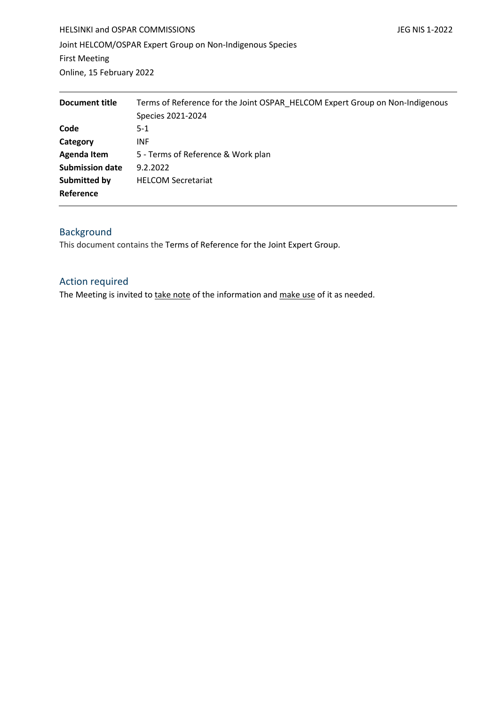HELSINKI and OSPAR COMMISSIONS **State of the COMMISSIONS JEG NIS 1-2022** Joint HELCOM/OSPAR Expert Group on Non-Indigenous Species First Meeting Online, 15 February 2022

| Document title         | Terms of Reference for the Joint OSPAR HELCOM Expert Group on Non-Indigenous<br>Species 2021-2024 |
|------------------------|---------------------------------------------------------------------------------------------------|
| Code                   | $5-1$                                                                                             |
| Category               | <b>INF</b>                                                                                        |
| <b>Agenda Item</b>     | 5 - Terms of Reference & Work plan                                                                |
| <b>Submission date</b> | 9.2.2022                                                                                          |
| Submitted by           | <b>HELCOM Secretariat</b>                                                                         |
| Reference              |                                                                                                   |

# Background

This document contains the Terms of Reference for the Joint Expert Group.

## Action required

The Meeting is invited to take note of the information and make use of it as needed.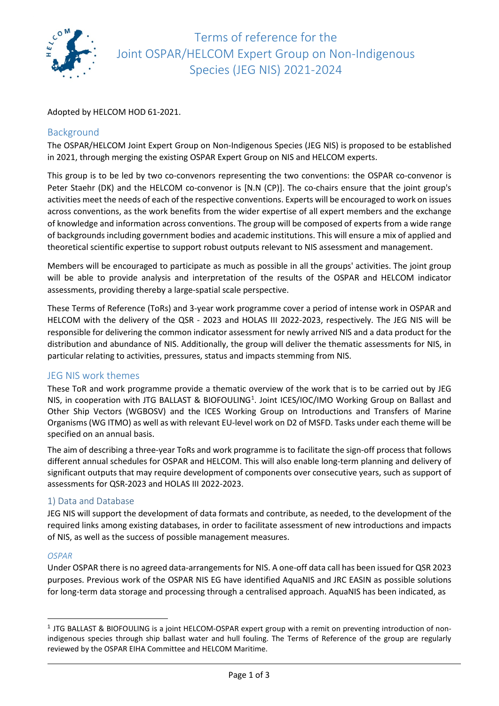

Terms of reference for the Joint OSPAR/HELCOM Expert Group on Non-Indigenous Species (JEG NIS) 2021-2024

Adopted by HELCOM HOD 61-2021.

## Background

The OSPAR/HELCOM Joint Expert Group on Non-Indigenous Species (JEG NIS) is proposed to be established in 2021, through merging the existing OSPAR Expert Group on NIS and HELCOM experts.

This group is to be led by two co-convenors representing the two conventions: the OSPAR co-convenor is Peter Staehr (DK) and the HELCOM co-convenor is [N.N (CP)]. The co-chairs ensure that the joint group's activities meet the needs of each of the respective conventions. Experts will be encouraged to work on issues across conventions, as the work benefits from the wider expertise of all expert members and the exchange of knowledge and information across conventions. The group will be composed of experts from a wide range of backgrounds including government bodies and academic institutions. This will ensure a mix of applied and theoretical scientific expertise to support robust outputs relevant to NIS assessment and management.

Members will be encouraged to participate as much as possible in all the groups' activities. The joint group will be able to provide analysis and interpretation of the results of the OSPAR and HELCOM indicator assessments, providing thereby a large-spatial scale perspective.

These Terms of Reference (ToRs) and 3-year work programme cover a period of intense work in OSPAR and HELCOM with the delivery of the QSR - 2023 and HOLAS III 2022-2023, respectively. The JEG NIS will be responsible for delivering the common indicator assessment for newly arrived NIS and a data product for the distribution and abundance of NIS. Additionally, the group will deliver the thematic assessments for NIS, in particular relating to activities, pressures, status and impacts stemming from NIS.

## JEG NIS work themes

These ToR and work programme provide a thematic overview of the work that is to be carried out by JEG NIS, in cooperation with JTG BALLAST & BIOFOULING<sup>[1](#page-1-0)</sup>. Joint ICES/IOC/IMO Working Group on Ballast and Other Ship Vectors (WGBOSV) and the ICES Working Group on Introductions and Transfers of Marine Organisms (WG ITMO) as well as with relevant EU-level work on D2 of MSFD. Tasks under each theme will be specified on an annual basis.

The aim of describing a three-year ToRs and work programme is to facilitate the sign-off process that follows different annual schedules for OSPAR and HELCOM. This will also enable long-term planning and delivery of significant outputs that may require development of components over consecutive years, such as support of assessments for QSR-2023 and HOLAS III 2022-2023.

## 1) Data and Database

JEG NIS will support the development of data formats and contribute, as needed, to the development of the required links among existing databases, in order to facilitate assessment of new introductions and impacts of NIS, as well as the success of possible management measures.

#### *OSPAR*

Under OSPAR there is no agreed data-arrangements for NIS. A one-off data call has been issued for QSR 2023 purposes. Previous work of the OSPAR NIS EG have identified AquaNIS and JRC EASIN as possible solutions for long-term data storage and processing through a centralised approach. AquaNIS has been indicated, as

<span id="page-1-0"></span><sup>1</sup> JTG BALLAST & BIOFOULING is a joint HELCOM-OSPAR expert group with a remit on preventing introduction of nonindigenous species through ship ballast water and hull fouling. The Terms of Reference of the group are regularly reviewed by the OSPAR EIHA Committee and HELCOM Maritime.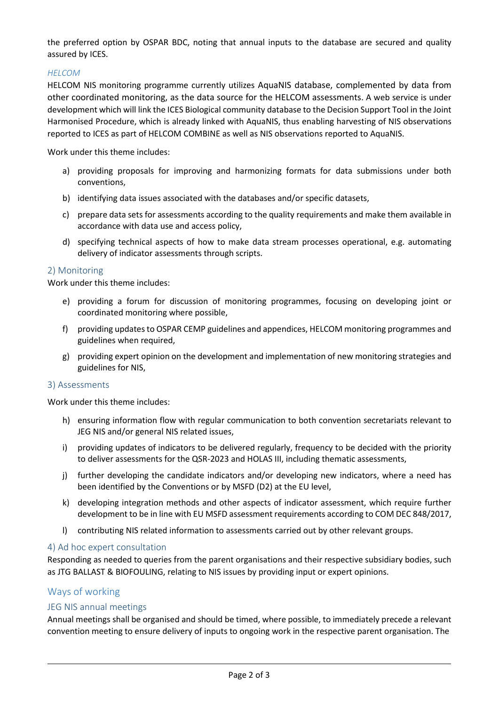the preferred option by OSPAR BDC, noting that annual inputs to the database are secured and quality assured by ICES.

## *HELCOM*

HELCOM NIS monitoring programme currently utilizes AquaNIS database, complemented by data from other coordinated monitoring, as the data source for the HELCOM assessments. A web service is under development which will link the ICES Biological community database to the Decision Support Tool in the Joint Harmonised Procedure, which is already linked with AquaNIS, thus enabling harvesting of NIS observations reported to ICES as part of HELCOM COMBINE as well as NIS observations reported to AquaNIS.

Work under this theme includes:

- a) providing proposals for improving and harmonizing formats for data submissions under both conventions,
- b) identifying data issues associated with the databases and/or specific datasets,
- c) prepare data sets for assessments according to the quality requirements and make them available in accordance with data use and access policy,
- d) specifying technical aspects of how to make data stream processes operational, e.g. automating delivery of indicator assessments through scripts.

#### 2) Monitoring

Work under this theme includes:

- e) providing a forum for discussion of monitoring programmes, focusing on developing joint or coordinated monitoring where possible,
- f) providing updates to OSPAR CEMP guidelines and appendices, HELCOM monitoring programmes and guidelines when required,
- g) providing expert opinion on the development and implementation of new monitoring strategies and guidelines for NIS,

#### 3) Assessments

Work under this theme includes:

- h) ensuring information flow with regular communication to both convention secretariats relevant to JEG NIS and/or general NIS related issues,
- i) providing updates of indicators to be delivered regularly, frequency to be decided with the priority to deliver assessments for the QSR-2023 and HOLAS III, including thematic assessments,
- j) further developing the candidate indicators and/or developing new indicators, where a need has been identified by the Conventions or by MSFD (D2) at the EU level,
- k) developing integration methods and other aspects of indicator assessment, which require further development to be in line with EU MSFD assessment requirements according to COM DEC 848/2017,
- l) contributing NIS related information to assessments carried out by other relevant groups.

## 4) Ad hoc expert consultation

Responding as needed to queries from the parent organisations and their respective subsidiary bodies, such as JTG BALLAST & BIOFOULING, relating to NIS issues by providing input or expert opinions.

## Ways of working

## JEG NIS annual meetings

Annual meetings shall be organised and should be timed, where possible, to immediately precede a relevant convention meeting to ensure delivery of inputs to ongoing work in the respective parent organisation. The